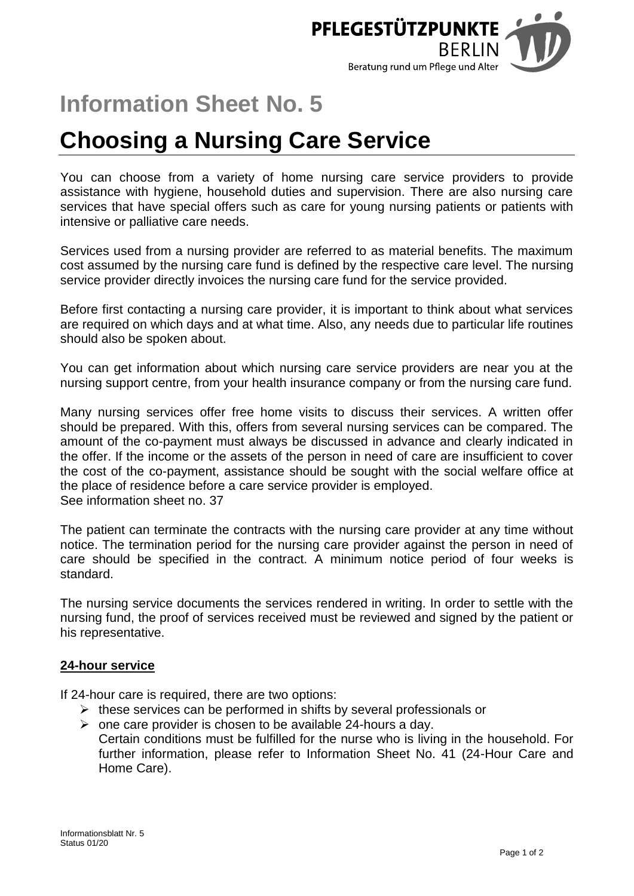

# **Information Sheet No. 5**

# **Choosing a Nursing Care Service**

You can choose from a variety of home nursing care service providers to provide assistance with hygiene, household duties and supervision. There are also nursing care services that have special offers such as care for young nursing patients or patients with intensive or palliative care needs.

Services used from a nursing provider are referred to as material benefits. The maximum cost assumed by the nursing care fund is defined by the respective care level. The nursing service provider directly invoices the nursing care fund for the service provided.

Before first contacting a nursing care provider, it is important to think about what services are required on which days and at what time. Also, any needs due to particular life routines should also be spoken about.

You can get information about which nursing care service providers are near you at the nursing support centre, from your health insurance company or from the nursing care fund.

Many nursing services offer free home visits to discuss their services. A written offer should be prepared. With this, offers from several nursing services can be compared. The amount of the co-payment must always be discussed in advance and clearly indicated in the offer. If the income or the assets of the person in need of care are insufficient to cover the cost of the co-payment, assistance should be sought with the social welfare office at the place of residence before a care service provider is employed. See information sheet no. 37

The patient can terminate the contracts with the nursing care provider at any time without notice. The termination period for the nursing care provider against the person in need of care should be specified in the contract. A minimum notice period of four weeks is standard.

The nursing service documents the services rendered in writing. In order to settle with the nursing fund, the proof of services received must be reviewed and signed by the patient or his representative.

## **24-hour service**

If 24-hour care is required, there are two options:

- $\triangleright$  these services can be performed in shifts by several professionals or
- $\triangleright$  one care provider is chosen to be available 24-hours a day. Certain conditions must be fulfilled for the nurse who is living in the household. For further information, please refer to Information Sheet No. 41 (24-Hour Care and Home Care).